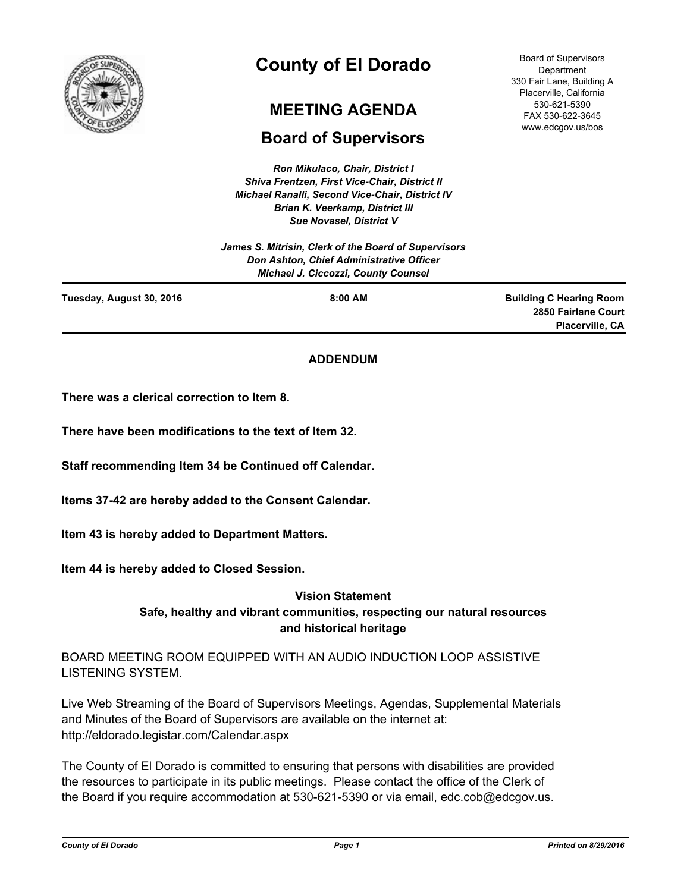

# **County of El Dorado**

# **MEETING AGENDA**

# **Board of Supervisors**

*Ron Mikulaco, Chair, District I Shiva Frentzen, First Vice-Chair, District II Michael Ranalli, Second Vice-Chair, District IV Brian K. Veerkamp, District III Sue Novasel, District V* 

*James S. Mitrisin, Clerk of the Board of Supervisors Don Ashton, Chief Administrative Officer Michael J. Ciccozzi, County Counsel*

**Tuesday, August 30, 2016 8:00 AM**

**Building C Hearing Room 2850 Fairlane Court Placerville, CA**

# **ADDENDUM**

**There was a clerical correction to Item 8.**

**There have been modifications to the text of Item 32.**

**Staff recommending Item 34 be Continued off Calendar.**

**Items 37-42 are hereby added to the Consent Calendar.**

**Item 43 is hereby added to Department Matters.**

**Item 44 is hereby added to Closed Session.**

# **Vision Statement**

**Safe, healthy and vibrant communities, respecting our natural resources and historical heritage**

BOARD MEETING ROOM EQUIPPED WITH AN AUDIO INDUCTION LOOP ASSISTIVE LISTENING SYSTEM.

Live Web Streaming of the Board of Supervisors Meetings, Agendas, Supplemental Materials and Minutes of the Board of Supervisors are available on the internet at: http://eldorado.legistar.com/Calendar.aspx

The County of El Dorado is committed to ensuring that persons with disabilities are provided the resources to participate in its public meetings. Please contact the office of the Clerk of the Board if you require accommodation at 530-621-5390 or via email, edc.cob@edcgov.us.

Board of Supervisors Department 330 Fair Lane, Building A Placerville, California 530-621-5390 FAX 530-622-3645 www.edcgov.us/bos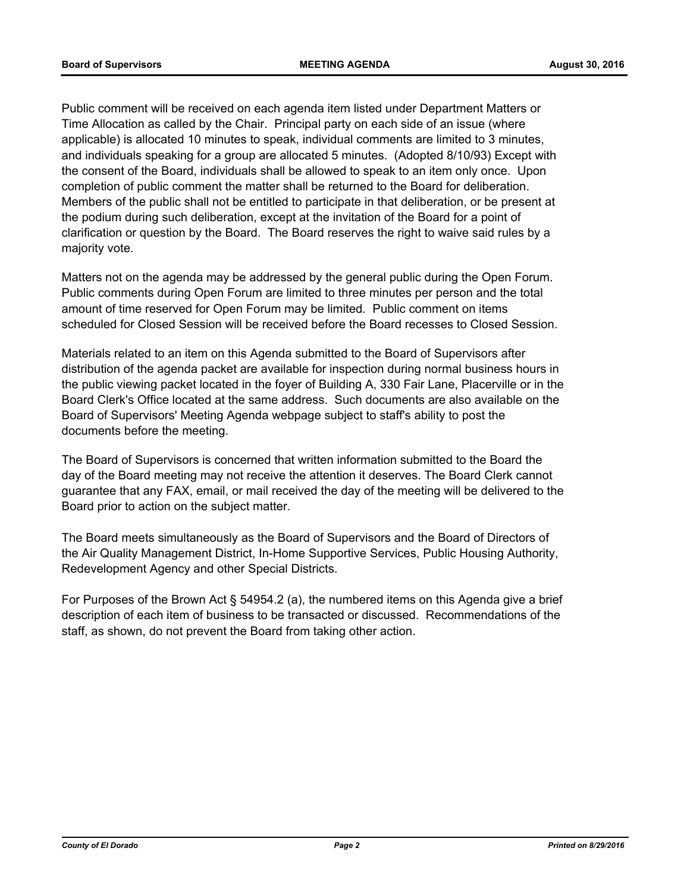Public comment will be received on each agenda item listed under Department Matters or Time Allocation as called by the Chair. Principal party on each side of an issue (where applicable) is allocated 10 minutes to speak, individual comments are limited to 3 minutes, and individuals speaking for a group are allocated 5 minutes. (Adopted 8/10/93) Except with the consent of the Board, individuals shall be allowed to speak to an item only once. Upon completion of public comment the matter shall be returned to the Board for deliberation. Members of the public shall not be entitled to participate in that deliberation, or be present at the podium during such deliberation, except at the invitation of the Board for a point of clarification or question by the Board. The Board reserves the right to waive said rules by a majority vote.

Matters not on the agenda may be addressed by the general public during the Open Forum. Public comments during Open Forum are limited to three minutes per person and the total amount of time reserved for Open Forum may be limited. Public comment on items scheduled for Closed Session will be received before the Board recesses to Closed Session.

Materials related to an item on this Agenda submitted to the Board of Supervisors after distribution of the agenda packet are available for inspection during normal business hours in the public viewing packet located in the foyer of Building A, 330 Fair Lane, Placerville or in the Board Clerk's Office located at the same address. Such documents are also available on the Board of Supervisors' Meeting Agenda webpage subject to staff's ability to post the documents before the meeting.

The Board of Supervisors is concerned that written information submitted to the Board the day of the Board meeting may not receive the attention it deserves. The Board Clerk cannot guarantee that any FAX, email, or mail received the day of the meeting will be delivered to the Board prior to action on the subject matter.

The Board meets simultaneously as the Board of Supervisors and the Board of Directors of the Air Quality Management District, In-Home Supportive Services, Public Housing Authority, Redevelopment Agency and other Special Districts.

For Purposes of the Brown Act § 54954.2 (a), the numbered items on this Agenda give a brief description of each item of business to be transacted or discussed. Recommendations of the staff, as shown, do not prevent the Board from taking other action.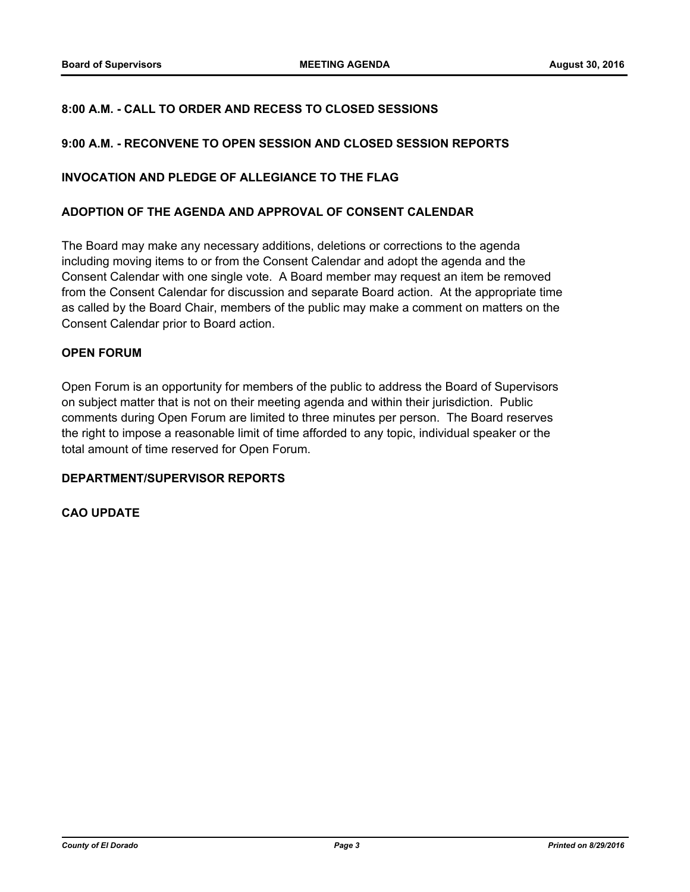# **8:00 A.M. - CALL TO ORDER AND RECESS TO CLOSED SESSIONS**

# **9:00 A.M. - RECONVENE TO OPEN SESSION AND CLOSED SESSION REPORTS**

## **INVOCATION AND PLEDGE OF ALLEGIANCE TO THE FLAG**

### **ADOPTION OF THE AGENDA AND APPROVAL OF CONSENT CALENDAR**

The Board may make any necessary additions, deletions or corrections to the agenda including moving items to or from the Consent Calendar and adopt the agenda and the Consent Calendar with one single vote. A Board member may request an item be removed from the Consent Calendar for discussion and separate Board action. At the appropriate time as called by the Board Chair, members of the public may make a comment on matters on the Consent Calendar prior to Board action.

# **OPEN FORUM**

Open Forum is an opportunity for members of the public to address the Board of Supervisors on subject matter that is not on their meeting agenda and within their jurisdiction. Public comments during Open Forum are limited to three minutes per person. The Board reserves the right to impose a reasonable limit of time afforded to any topic, individual speaker or the total amount of time reserved for Open Forum.

# **DEPARTMENT/SUPERVISOR REPORTS**

#### **CAO UPDATE**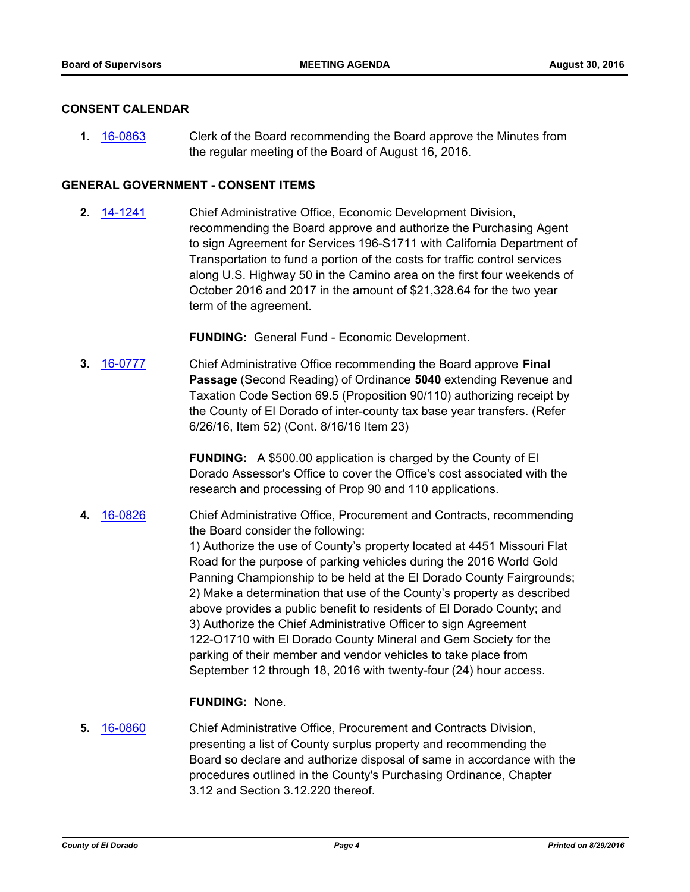### **CONSENT CALENDAR**

**1.** [16-0863](http://eldorado.legistar.com/gateway.aspx?m=l&id=/matter.aspx?key=21521) Clerk of the Board recommending the Board approve the Minutes from the regular meeting of the Board of August 16, 2016.

# **GENERAL GOVERNMENT - CONSENT ITEMS**

**2.** [14-1241](http://eldorado.legistar.com/gateway.aspx?m=l&id=/matter.aspx?key=18725) Chief Administrative Office, Economic Development Division, recommending the Board approve and authorize the Purchasing Agent to sign Agreement for Services 196-S1711 with California Department of Transportation to fund a portion of the costs for traffic control services along U.S. Highway 50 in the Camino area on the first four weekends of October 2016 and 2017 in the amount of \$21,328.64 for the two year term of the agreement.

**FUNDING:** General Fund - Economic Development.

**3.** [16-0777](http://eldorado.legistar.com/gateway.aspx?m=l&id=/matter.aspx?key=21435) Chief Administrative Office recommending the Board approve **Final Passage** (Second Reading) of Ordinance **5040** extending Revenue and Taxation Code Section 69.5 (Proposition 90/110) authorizing receipt by the County of El Dorado of inter-county tax base year transfers. (Refer 6/26/16, Item 52) (Cont. 8/16/16 Item 23)

> **FUNDING:** A \$500.00 application is charged by the County of El Dorado Assessor's Office to cover the Office's cost associated with the research and processing of Prop 90 and 110 applications.

**4.** [16-0826](http://eldorado.legistar.com/gateway.aspx?m=l&id=/matter.aspx?key=21484) Chief Administrative Office, Procurement and Contracts, recommending the Board consider the following: 1) Authorize the use of County's property located at 4451 Missouri Flat Road for the purpose of parking vehicles during the 2016 World Gold Panning Championship to be held at the El Dorado County Fairgrounds; 2) Make a determination that use of the County's property as described above provides a public benefit to residents of El Dorado County; and 3) Authorize the Chief Administrative Officer to sign Agreement 122-O1710 with El Dorado County Mineral and Gem Society for the parking of their member and vendor vehicles to take place from September 12 through 18, 2016 with twenty-four (24) hour access.

#### **FUNDING:** None.

**5.** [16-0860](http://eldorado.legistar.com/gateway.aspx?m=l&id=/matter.aspx?key=21518) Chief Administrative Office, Procurement and Contracts Division, presenting a list of County surplus property and recommending the Board so declare and authorize disposal of same in accordance with the procedures outlined in the County's Purchasing Ordinance, Chapter 3.12 and Section 3.12.220 thereof.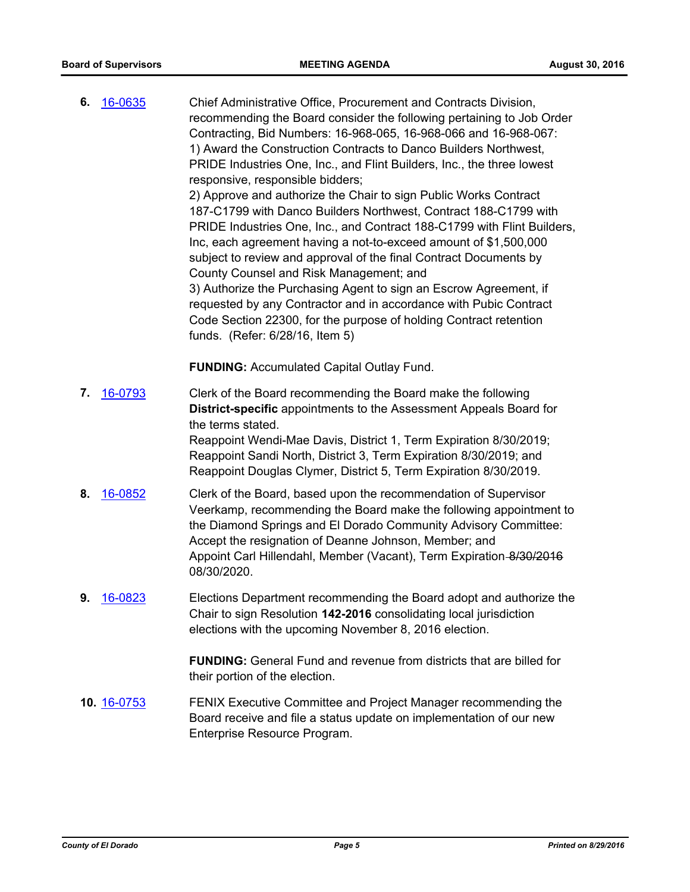**6.** [16-0635](http://eldorado.legistar.com/gateway.aspx?m=l&id=/matter.aspx?key=21293) Chief Administrative Office, Procurement and Contracts Division, recommending the Board consider the following pertaining to Job Order Contracting, Bid Numbers: 16-968-065, 16-968-066 and 16-968-067: 1) Award the Construction Contracts to Danco Builders Northwest, PRIDE Industries One, Inc., and Flint Builders, Inc., the three lowest responsive, responsible bidders; 2) Approve and authorize the Chair to sign Public Works Contract 187-C1799 with Danco Builders Northwest, Contract 188-C1799 with PRIDE Industries One, Inc., and Contract 188-C1799 with Flint Builders, Inc, each agreement having a not-to-exceed amount of \$1,500,000 subject to review and approval of the final Contract Documents by County Counsel and Risk Management; and 3) Authorize the Purchasing Agent to sign an Escrow Agreement, if requested by any Contractor and in accordance with Pubic Contract Code Section 22300, for the purpose of holding Contract retention funds. (Refer: 6/28/16, Item 5) **FUNDING:** Accumulated Capital Outlay Fund. **7.** [16-0793](http://eldorado.legistar.com/gateway.aspx?m=l&id=/matter.aspx?key=21451) Clerk of the Board recommending the Board make the following **District-specific** appointments to the Assessment Appeals Board for the terms stated. Reappoint Wendi-Mae Davis, District 1, Term Expiration 8/30/2019; Reappoint Sandi North, District 3, Term Expiration 8/30/2019; and Reappoint Douglas Clymer, District 5, Term Expiration 8/30/2019. **8.** [16-0852](http://eldorado.legistar.com/gateway.aspx?m=l&id=/matter.aspx?key=21510) Clerk of the Board, based upon the recommendation of Supervisor Veerkamp, recommending the Board make the following appointment to the Diamond Springs and El Dorado Community Advisory Committee: Accept the resignation of Deanne Johnson, Member; and Appoint Carl Hillendahl, Member (Vacant), Term Expiration-8/30/2016 08/30/2020. **9.** [16-0823](http://eldorado.legistar.com/gateway.aspx?m=l&id=/matter.aspx?key=21481) Elections Department recommending the Board adopt and authorize the Chair to sign Resolution **142-2016** consolidating local jurisdiction elections with the upcoming November 8, 2016 election. **FUNDING:** General Fund and revenue from districts that are billed for their portion of the election. **10.** [16-0753](http://eldorado.legistar.com/gateway.aspx?m=l&id=/matter.aspx?key=21411) FENIX Executive Committee and Project Manager recommending the Board receive and file a status update on implementation of our new Enterprise Resource Program.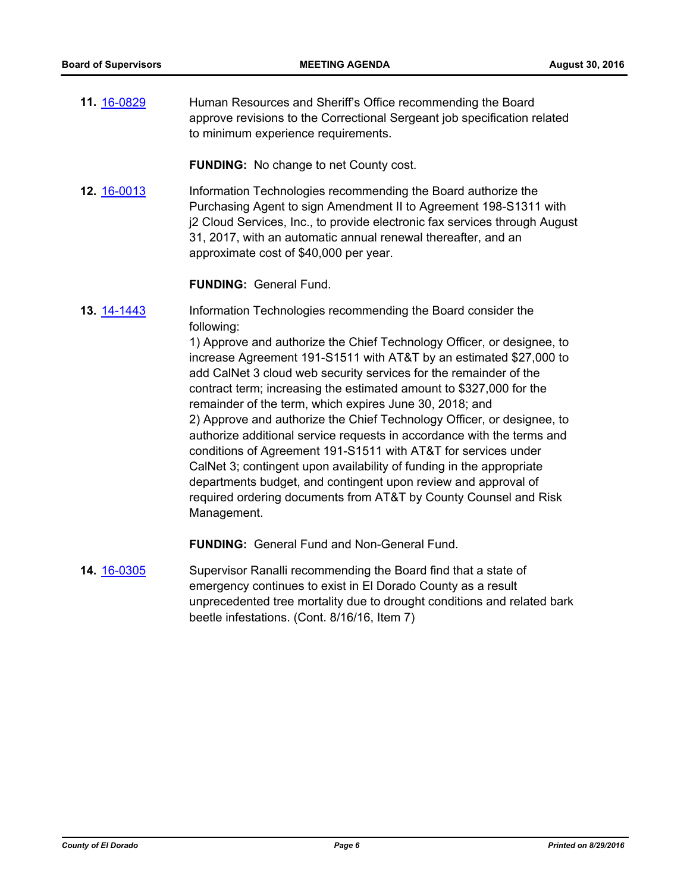**11.** [16-0829](http://eldorado.legistar.com/gateway.aspx?m=l&id=/matter.aspx?key=21487) Human Resources and Sheriff's Office recommending the Board approve revisions to the Correctional Sergeant job specification related to minimum experience requirements.

**FUNDING:** No change to net County cost.

**12.** [16-0013](http://eldorado.legistar.com/gateway.aspx?m=l&id=/matter.aspx?key=20669) Information Technologies recommending the Board authorize the Purchasing Agent to sign Amendment II to Agreement 198-S1311 with j2 Cloud Services, Inc., to provide electronic fax services through August 31, 2017, with an automatic annual renewal thereafter, and an approximate cost of \$40,000 per year.

## **FUNDING:** General Fund.

**13.** [14-1443](http://eldorado.legistar.com/gateway.aspx?m=l&id=/matter.aspx?key=18927) Information Technologies recommending the Board consider the following:

> 1) Approve and authorize the Chief Technology Officer, or designee, to increase Agreement 191-S1511 with AT&T by an estimated \$27,000 to add CalNet 3 cloud web security services for the remainder of the contract term; increasing the estimated amount to \$327,000 for the remainder of the term, which expires June 30, 2018; and 2) Approve and authorize the Chief Technology Officer, or designee, to authorize additional service requests in accordance with the terms and conditions of Agreement 191-S1511 with AT&T for services under CalNet 3; contingent upon availability of funding in the appropriate departments budget, and contingent upon review and approval of required ordering documents from AT&T by County Counsel and Risk Management.

**FUNDING:** General Fund and Non-General Fund.

**14.** [16-0305](http://eldorado.legistar.com/gateway.aspx?m=l&id=/matter.aspx?key=20961) Supervisor Ranalli recommending the Board find that a state of emergency continues to exist in El Dorado County as a result unprecedented tree mortality due to drought conditions and related bark beetle infestations. (Cont. 8/16/16, Item 7)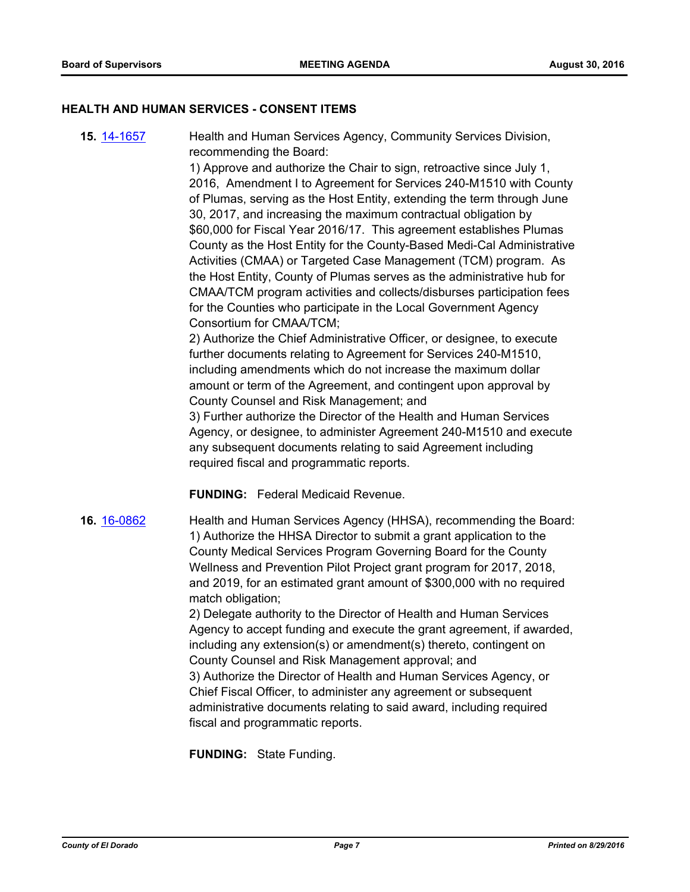#### **HEALTH AND HUMAN SERVICES - CONSENT ITEMS**

**15.** [14-1657](http://eldorado.legistar.com/gateway.aspx?m=l&id=/matter.aspx?key=19146) Health and Human Services Agency, Community Services Division, recommending the Board:

> 1) Approve and authorize the Chair to sign, retroactive since July 1, 2016, Amendment I to Agreement for Services 240-M1510 with County of Plumas, serving as the Host Entity, extending the term through June 30, 2017, and increasing the maximum contractual obligation by \$60,000 for Fiscal Year 2016/17. This agreement establishes Plumas County as the Host Entity for the County-Based Medi-Cal Administrative Activities (CMAA) or Targeted Case Management (TCM) program. As the Host Entity, County of Plumas serves as the administrative hub for CMAA/TCM program activities and collects/disburses participation fees for the Counties who participate in the Local Government Agency Consortium for CMAA/TCM;

2) Authorize the Chief Administrative Officer, or designee, to execute further documents relating to Agreement for Services 240-M1510, including amendments which do not increase the maximum dollar amount or term of the Agreement, and contingent upon approval by County Counsel and Risk Management; and

3) Further authorize the Director of the Health and Human Services Agency, or designee, to administer Agreement 240-M1510 and execute any subsequent documents relating to said Agreement including required fiscal and programmatic reports.

**FUNDING:** Federal Medicaid Revenue.

**16.** [16-0862](http://eldorado.legistar.com/gateway.aspx?m=l&id=/matter.aspx?key=21520) Health and Human Services Agency (HHSA), recommending the Board: 1) Authorize the HHSA Director to submit a grant application to the County Medical Services Program Governing Board for the County Wellness and Prevention Pilot Project grant program for 2017, 2018, and 2019, for an estimated grant amount of \$300,000 with no required match obligation;

> 2) Delegate authority to the Director of Health and Human Services Agency to accept funding and execute the grant agreement, if awarded, including any extension(s) or amendment(s) thereto, contingent on County Counsel and Risk Management approval; and 3) Authorize the Director of Health and Human Services Agency, or Chief Fiscal Officer, to administer any agreement or subsequent administrative documents relating to said award, including required fiscal and programmatic reports.

**FUNDING:** State Funding.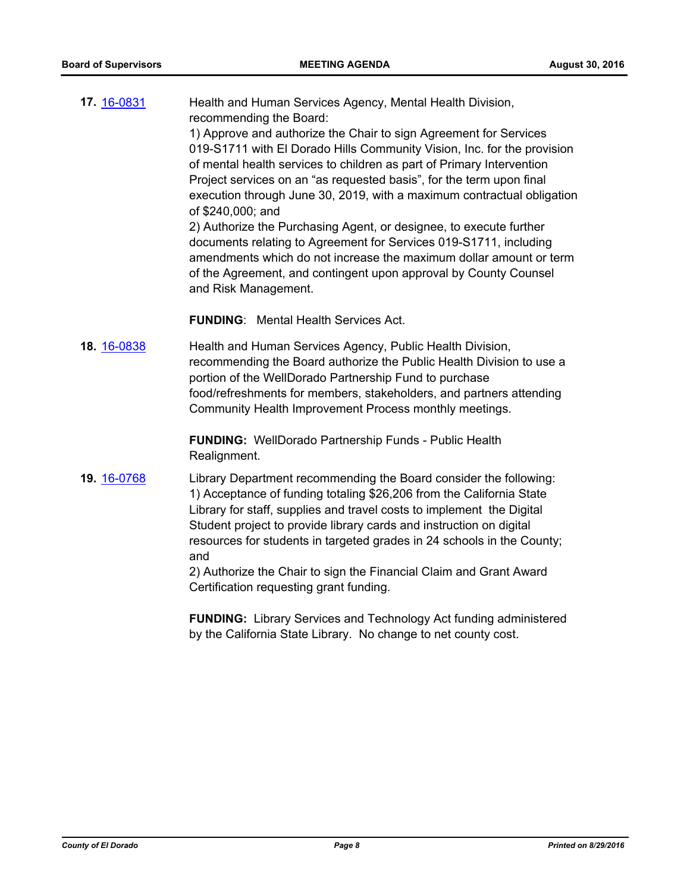| 17. 16-0831 | Health and Human Services Agency, Mental Health Division,<br>recommending the Board:<br>1) Approve and authorize the Chair to sign Agreement for Services<br>019-S1711 with El Dorado Hills Community Vision, Inc. for the provision                                                                      |
|-------------|-----------------------------------------------------------------------------------------------------------------------------------------------------------------------------------------------------------------------------------------------------------------------------------------------------------|
|             | of mental health services to children as part of Primary Intervention<br>Project services on an "as requested basis", for the term upon final                                                                                                                                                             |
|             | execution through June 30, 2019, with a maximum contractual obligation<br>of \$240,000; and                                                                                                                                                                                                               |
|             | 2) Authorize the Purchasing Agent, or designee, to execute further<br>documents relating to Agreement for Services 019-S1711, including<br>amendments which do not increase the maximum dollar amount or term<br>of the Agreement, and contingent upon approval by County Counsel<br>and Risk Management. |
|             | <b>FUNDING:</b> Mental Health Services Act.                                                                                                                                                                                                                                                               |

**18.** [16-0838](http://eldorado.legistar.com/gateway.aspx?m=l&id=/matter.aspx?key=21496) Health and Human Services Agency, Public Health Division, recommending the Board authorize the Public Health Division to use a portion of the WellDorado Partnership Fund to purchase food/refreshments for members, stakeholders, and partners attending Community Health Improvement Process monthly meetings.

> **FUNDING:** WellDorado Partnership Funds - Public Health Realignment.

**19.** [16-0768](http://eldorado.legistar.com/gateway.aspx?m=l&id=/matter.aspx?key=21426) Library Department recommending the Board consider the following: 1) Acceptance of funding totaling \$26,206 from the California State Library for staff, supplies and travel costs to implement the Digital Student project to provide library cards and instruction on digital resources for students in targeted grades in 24 schools in the County; and

> 2) Authorize the Chair to sign the Financial Claim and Grant Award Certification requesting grant funding.

**FUNDING:** Library Services and Technology Act funding administered by the California State Library. No change to net county cost.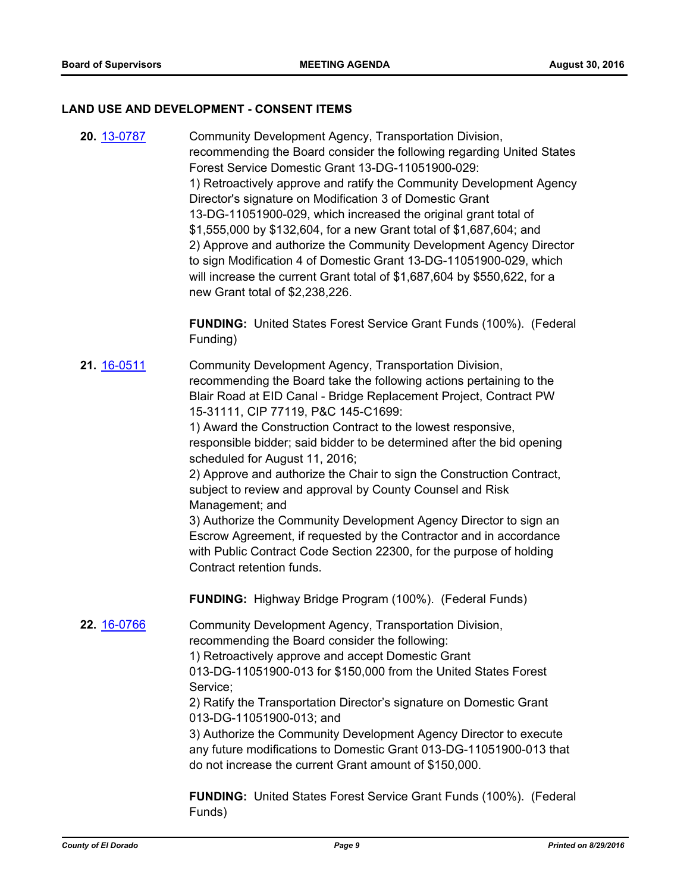#### **LAND USE AND DEVELOPMENT - CONSENT ITEMS**

**20.** [13-0787](http://eldorado.legistar.com/gateway.aspx?m=l&id=/matter.aspx?key=16678) Community Development Agency, Transportation Division, recommending the Board consider the following regarding United States Forest Service Domestic Grant 13-DG-11051900-029: 1) Retroactively approve and ratify the Community Development Agency Director's signature on Modification 3 of Domestic Grant 13-DG-11051900-029, which increased the original grant total of \$1,555,000 by \$132,604, for a new Grant total of \$1,687,604; and 2) Approve and authorize the Community Development Agency Director to sign Modification 4 of Domestic Grant 13-DG-11051900-029, which will increase the current Grant total of \$1,687,604 by \$550,622, for a new Grant total of \$2,238,226.

> **FUNDING:** United States Forest Service Grant Funds (100%). (Federal Funding)

**21.** [16-0511](http://eldorado.legistar.com/gateway.aspx?m=l&id=/matter.aspx?key=21169) Community Development Agency, Transportation Division, recommending the Board take the following actions pertaining to the Blair Road at EID Canal - Bridge Replacement Project, Contract PW 15-31111, CIP 77119, P&C 145-C1699:

1) Award the Construction Contract to the lowest responsive, responsible bidder; said bidder to be determined after the bid opening scheduled for August 11, 2016;

2) Approve and authorize the Chair to sign the Construction Contract, subject to review and approval by County Counsel and Risk Management; and

3) Authorize the Community Development Agency Director to sign an Escrow Agreement, if requested by the Contractor and in accordance with Public Contract Code Section 22300, for the purpose of holding Contract retention funds.

**FUNDING:** Highway Bridge Program (100%). (Federal Funds)

**22.** [16-0766](http://eldorado.legistar.com/gateway.aspx?m=l&id=/matter.aspx?key=21424) Community Development Agency, Transportation Division, recommending the Board consider the following:

> 1) Retroactively approve and accept Domestic Grant 013-DG-11051900-013 for \$150,000 from the United States Forest Service;

> 2) Ratify the Transportation Director's signature on Domestic Grant 013-DG-11051900-013; and

3) Authorize the Community Development Agency Director to execute any future modifications to Domestic Grant 013-DG-11051900-013 that do not increase the current Grant amount of \$150,000.

**FUNDING:** United States Forest Service Grant Funds (100%). (Federal Funds)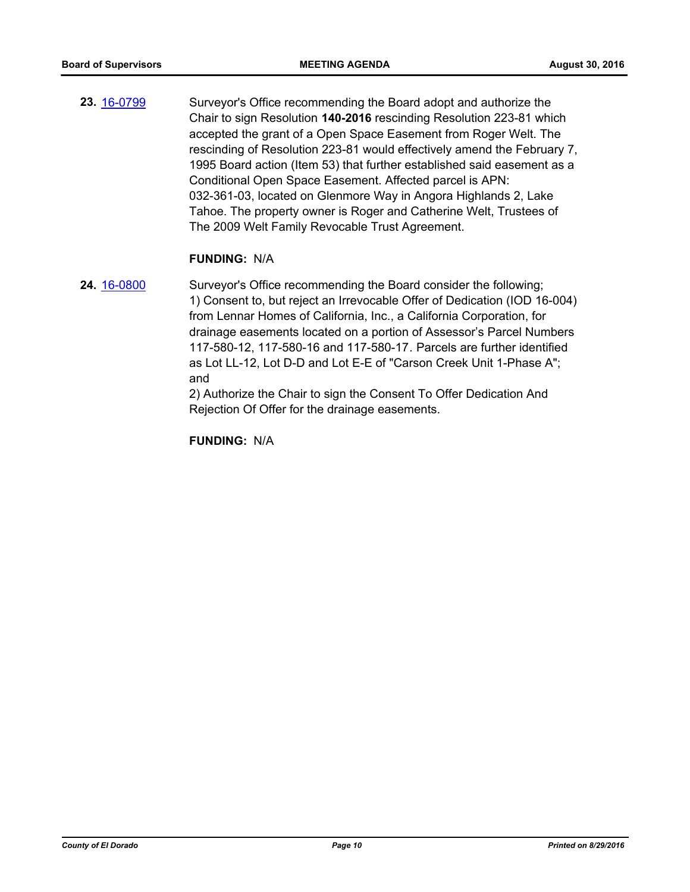**23.** [16-0799](http://eldorado.legistar.com/gateway.aspx?m=l&id=/matter.aspx?key=21457) Surveyor's Office recommending the Board adopt and authorize the Chair to sign Resolution **140-2016** rescinding Resolution 223-81 which accepted the grant of a Open Space Easement from Roger Welt. The rescinding of Resolution 223-81 would effectively amend the February 7, 1995 Board action (Item 53) that further established said easement as a Conditional Open Space Easement. Affected parcel is APN: 032-361-03, located on Glenmore Way in Angora Highlands 2, Lake Tahoe. The property owner is Roger and Catherine Welt, Trustees of The 2009 Welt Family Revocable Trust Agreement.

#### **FUNDING:** N/A

**24.** [16-0800](http://eldorado.legistar.com/gateway.aspx?m=l&id=/matter.aspx?key=21458) Surveyor's Office recommending the Board consider the following; 1) Consent to, but reject an Irrevocable Offer of Dedication (IOD 16-004) from Lennar Homes of California, Inc., a California Corporation, for drainage easements located on a portion of Assessor's Parcel Numbers 117-580-12, 117-580-16 and 117-580-17*.* Parcels are further identified as Lot LL-12, Lot D-D and Lot E-E of "Carson Creek Unit 1-Phase A"; and

> 2) Authorize the Chair to sign the Consent To Offer Dedication And Rejection Of Offer for the drainage easements.

**FUNDING:** N/A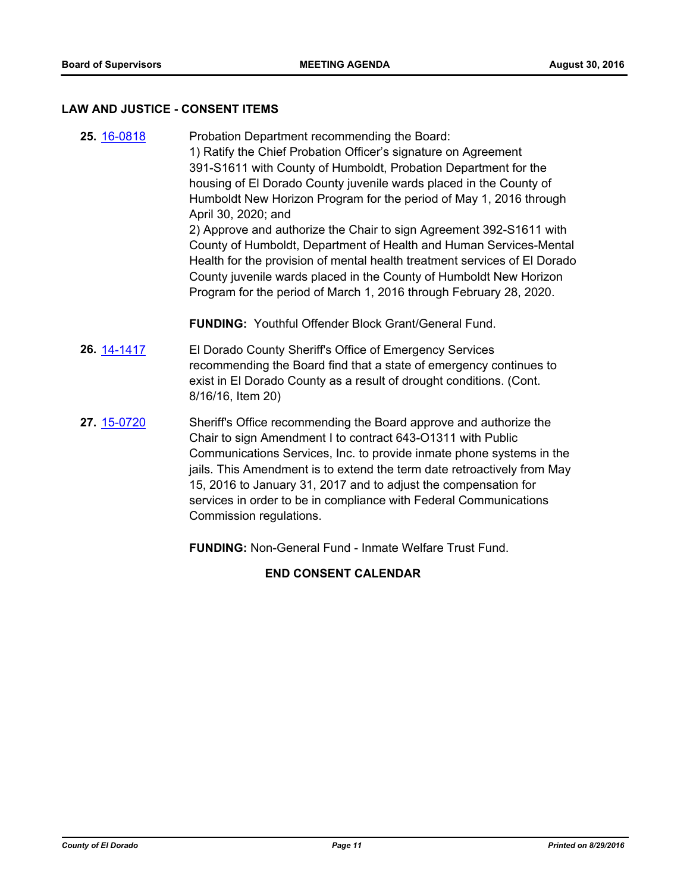#### **LAW AND JUSTICE - CONSENT ITEMS**

**25.** [16-0818](http://eldorado.legistar.com/gateway.aspx?m=l&id=/matter.aspx?key=21476) Probation Department recommending the Board: 1) Ratify the Chief Probation Officer's signature on Agreement 391-S1611 with County of Humboldt, Probation Department for the housing of El Dorado County juvenile wards placed in the County of Humboldt New Horizon Program for the period of May 1, 2016 through April 30, 2020; and 2) Approve and authorize the Chair to sign Agreement 392-S1611 with County of Humboldt, Department of Health and Human Services-Mental Health for the provision of mental health treatment services of El Dorado County juvenile wards placed in the County of Humboldt New Horizon Program for the period of March 1, 2016 through February 28, 2020.

**FUNDING:** Youthful Offender Block Grant/General Fund.

- **26.** [14-1417](http://eldorado.legistar.com/gateway.aspx?m=l&id=/matter.aspx?key=18901) El Dorado County Sheriff's Office of Emergency Services recommending the Board find that a state of emergency continues to exist in El Dorado County as a result of drought conditions. (Cont. 8/16/16, Item 20)
- **27.** [15-0720](http://eldorado.legistar.com/gateway.aspx?m=l&id=/matter.aspx?key=19894) Sheriff's Office recommending the Board approve and authorize the Chair to sign Amendment I to contract 643-O1311 with Public Communications Services, Inc. to provide inmate phone systems in the jails. This Amendment is to extend the term date retroactively from May 15, 2016 to January 31, 2017 and to adjust the compensation for services in order to be in compliance with Federal Communications Commission regulations.

**FUNDING:** Non-General Fund - Inmate Welfare Trust Fund.

**END CONSENT CALENDAR**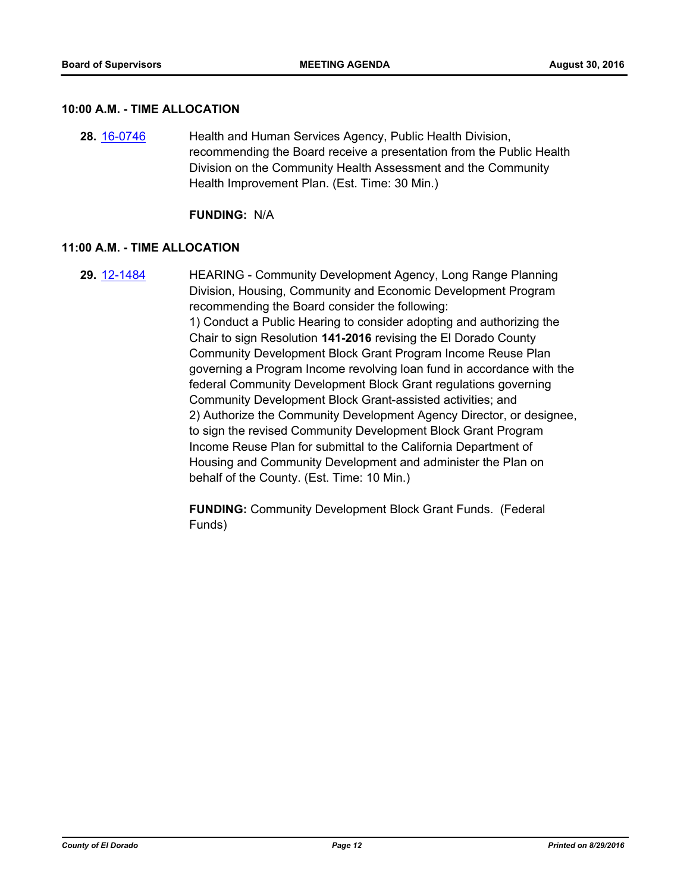#### **10:00 A.M. - TIME ALLOCATION**

**28.** [16-0746](http://eldorado.legistar.com/gateway.aspx?m=l&id=/matter.aspx?key=21404) Health and Human Services Agency, Public Health Division, recommending the Board receive a presentation from the Public Health Division on the Community Health Assessment and the Community Health Improvement Plan. (Est. Time: 30 Min.)

**FUNDING:** N/A

## **11:00 A.M. - TIME ALLOCATION**

**29.** [12-1484](http://eldorado.legistar.com/gateway.aspx?m=l&id=/matter.aspx?key=15788) HEARING - Community Development Agency, Long Range Planning Division, Housing, Community and Economic Development Program recommending the Board consider the following: 1) Conduct a Public Hearing to consider adopting and authorizing the Chair to sign Resolution **141-2016** revising the El Dorado County Community Development Block Grant Program Income Reuse Plan governing a Program Income revolving loan fund in accordance with the federal Community Development Block Grant regulations governing Community Development Block Grant-assisted activities; and 2) Authorize the Community Development Agency Director, or designee, to sign the revised Community Development Block Grant Program Income Reuse Plan for submittal to the California Department of Housing and Community Development and administer the Plan on behalf of the County. (Est. Time: 10 Min.)

> **FUNDING:** Community Development Block Grant Funds. (Federal Funds)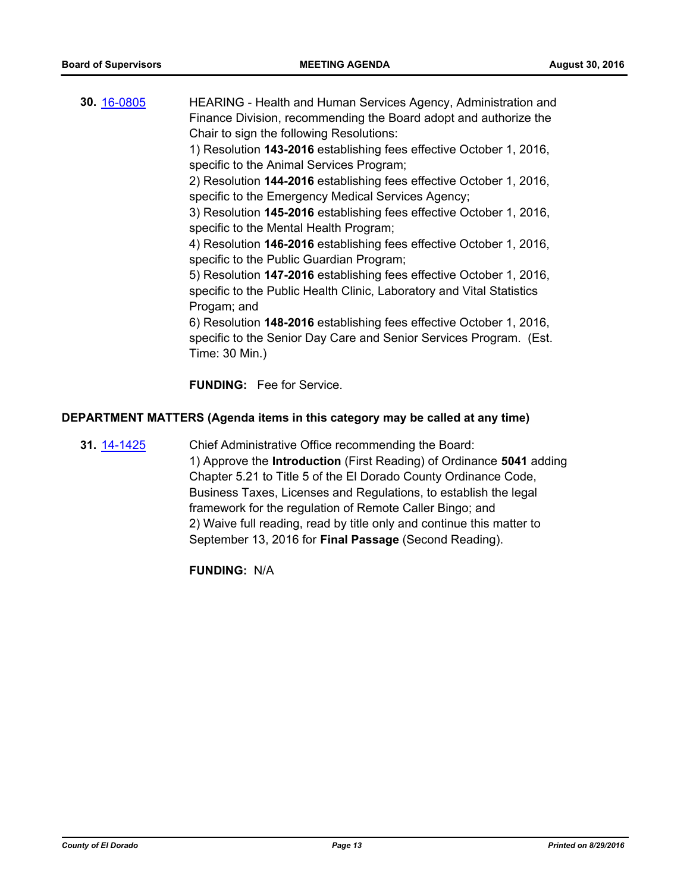| 30. 16-0805 | HEARING - Health and Human Services Agency, Administration and<br>Finance Division, recommending the Board adopt and authorize the<br>Chair to sign the following Resolutions: |
|-------------|--------------------------------------------------------------------------------------------------------------------------------------------------------------------------------|
|             | 1) Resolution 143-2016 establishing fees effective October 1, 2016,<br>specific to the Animal Services Program;                                                                |
|             | 2) Resolution 144-2016 establishing fees effective October 1, 2016,<br>specific to the Emergency Medical Services Agency;                                                      |
|             | 3) Resolution 145-2016 establishing fees effective October 1, 2016,<br>specific to the Mental Health Program;                                                                  |
|             | 4) Resolution 146-2016 establishing fees effective October 1, 2016,<br>specific to the Public Guardian Program;                                                                |
|             | 5) Resolution 147-2016 establishing fees effective October 1, 2016,<br>specific to the Public Health Clinic, Laboratory and Vital Statistics<br>Progam; and                    |
|             | 6) Resolution 148-2016 establishing fees effective October 1, 2016,<br>specific to the Senior Day Care and Senior Services Program. (Est.<br>Time: 30 Min.)                    |
|             | <b>FUNDING:</b> Fee for Service.                                                                                                                                               |

# **DEPARTMENT MATTERS (Agenda items in this category may be called at any time)**

**31.** [14-1425](http://eldorado.legistar.com/gateway.aspx?m=l&id=/matter.aspx?key=18909) Chief Administrative Office recommending the Board: 1) Approve the **Introduction** (First Reading) of Ordinance **5041** adding Chapter 5.21 to Title 5 of the El Dorado County Ordinance Code, Business Taxes, Licenses and Regulations, to establish the legal framework for the regulation of Remote Caller Bingo; and 2) Waive full reading, read by title only and continue this matter to September 13, 2016 for **Final Passage** (Second Reading).

**FUNDING:** N/A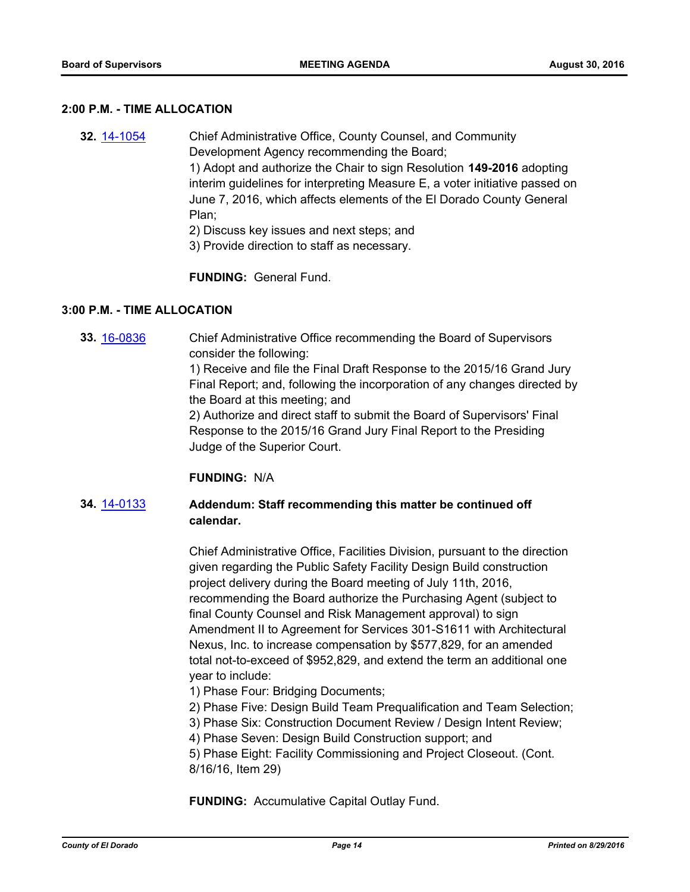#### **2:00 P.M. - TIME ALLOCATION**

- **32.** [14-1054](http://eldorado.legistar.com/gateway.aspx?m=l&id=/matter.aspx?key=18539) Chief Administrative Office, County Counsel, and Community Development Agency recommending the Board; 1) Adopt and authorize the Chair to sign Resolution **149-2016** adopting interim guidelines for interpreting Measure E, a voter initiative passed on June 7, 2016, which affects elements of the El Dorado County General Plan;
	- 2) Discuss key issues and next steps; and
	- 3) Provide direction to staff as necessary.

**FUNDING:** General Fund.

# **3:00 P.M. - TIME ALLOCATION**

**33.** [16-0836](http://eldorado.legistar.com/gateway.aspx?m=l&id=/matter.aspx?key=21494) Chief Administrative Office recommending the Board of Supervisors consider the following: 1) Receive and file the Final Draft Response to the 2015/16 Grand Jury

Final Report; and, following the incorporation of any changes directed by the Board at this meeting; and

2) Authorize and direct staff to submit the Board of Supervisors' Final Response to the 2015/16 Grand Jury Final Report to the Presiding Judge of the Superior Court.

## **FUNDING:** N/A

# **34.** [14-0133](http://eldorado.legistar.com/gateway.aspx?m=l&id=/matter.aspx?key=17616) **Addendum: Staff recommending this matter be continued off calendar.**

Chief Administrative Office, Facilities Division, pursuant to the direction given regarding the Public Safety Facility Design Build construction project delivery during the Board meeting of July 11th, 2016, recommending the Board authorize the Purchasing Agent (subject to final County Counsel and Risk Management approval) to sign Amendment II to Agreement for Services 301-S1611 with Architectural Nexus, Inc. to increase compensation by \$577,829, for an amended total not-to-exceed of \$952,829, and extend the term an additional one year to include:

- 1) Phase Four: Bridging Documents;
- 2) Phase Five: Design Build Team Prequalification and Team Selection;
- 3) Phase Six: Construction Document Review / Design Intent Review;
- 4) Phase Seven: Design Build Construction support; and
- 5) Phase Eight: Facility Commissioning and Project Closeout. (Cont. 8/16/16, Item 29)

**FUNDING:** Accumulative Capital Outlay Fund.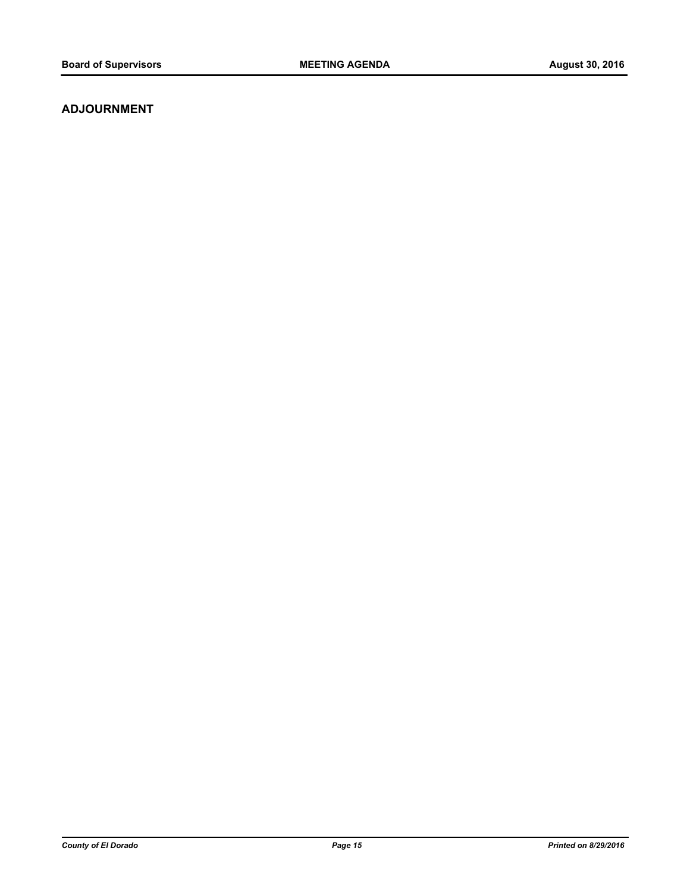# **ADJOURNMENT**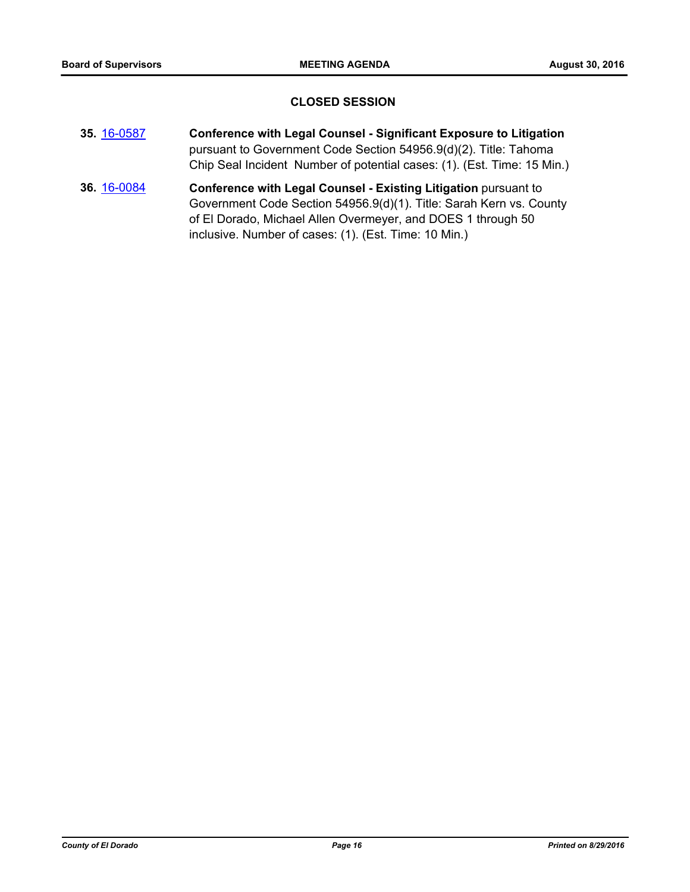# **CLOSED SESSION**

- **35.** [16-0587](http://eldorado.legistar.com/gateway.aspx?m=l&id=/matter.aspx?key=21245) **Conference with Legal Counsel Significant Exposure to Litigation** pursuant to Government Code Section 54956.9(d)(2). Title: Tahoma Chip Seal Incident Number of potential cases: (1). (Est. Time: 15 Min.)
- **36.** [16-0084](http://eldorado.legistar.com/gateway.aspx?m=l&id=/matter.aspx?key=20741) **Conference with Legal Counsel - Existing Litigation** pursuant to Government Code Section 54956.9(d)(1). Title: Sarah Kern vs. County of El Dorado, Michael Allen Overmeyer, and DOES 1 through 50 inclusive. Number of cases: (1). (Est. Time: 10 Min.)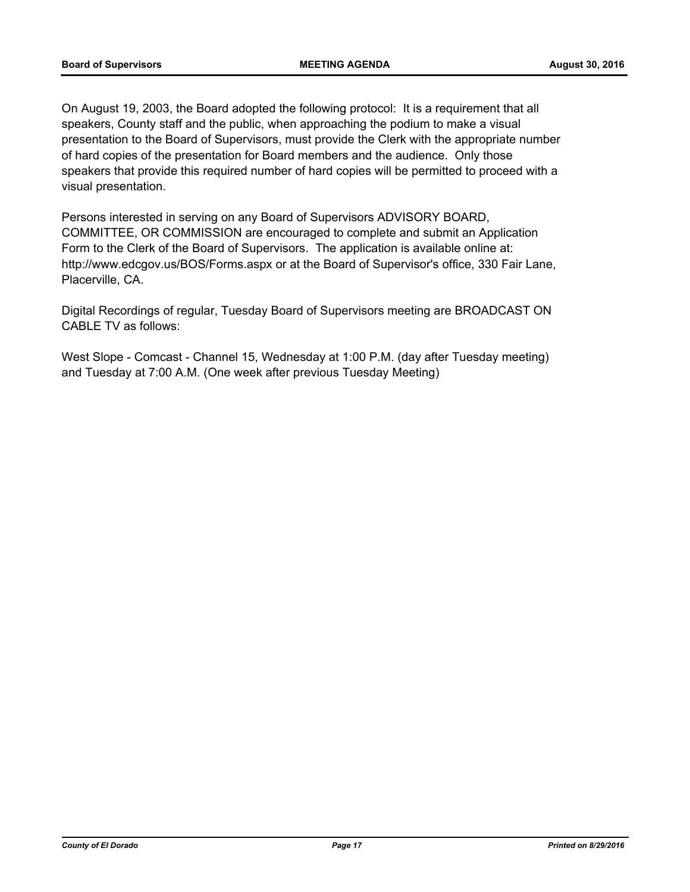On August 19, 2003, the Board adopted the following protocol: It is a requirement that all speakers, County staff and the public, when approaching the podium to make a visual presentation to the Board of Supervisors, must provide the Clerk with the appropriate number of hard copies of the presentation for Board members and the audience. Only those speakers that provide this required number of hard copies will be permitted to proceed with a visual presentation.

Persons interested in serving on any Board of Supervisors ADVISORY BOARD, COMMITTEE, OR COMMISSION are encouraged to complete and submit an Application Form to the Clerk of the Board of Supervisors. The application is available online at: http://www.edcgov.us/BOS/Forms.aspx or at the Board of Supervisor's office, 330 Fair Lane, Placerville, CA.

Digital Recordings of regular, Tuesday Board of Supervisors meeting are BROADCAST ON CABLE TV as follows:

West Slope - Comcast - Channel 15, Wednesday at 1:00 P.M. (day after Tuesday meeting) and Tuesday at 7:00 A.M. (One week after previous Tuesday Meeting)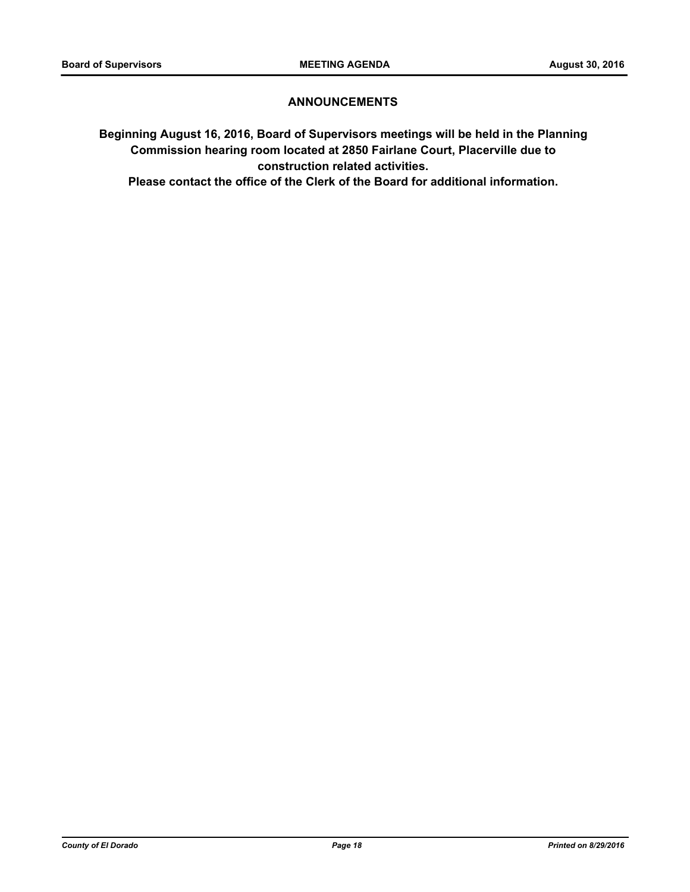# **ANNOUNCEMENTS**

**Beginning August 16, 2016, Board of Supervisors meetings will be held in the Planning Commission hearing room located at 2850 Fairlane Court, Placerville due to construction related activities.** 

**Please contact the office of the Clerk of the Board for additional information.**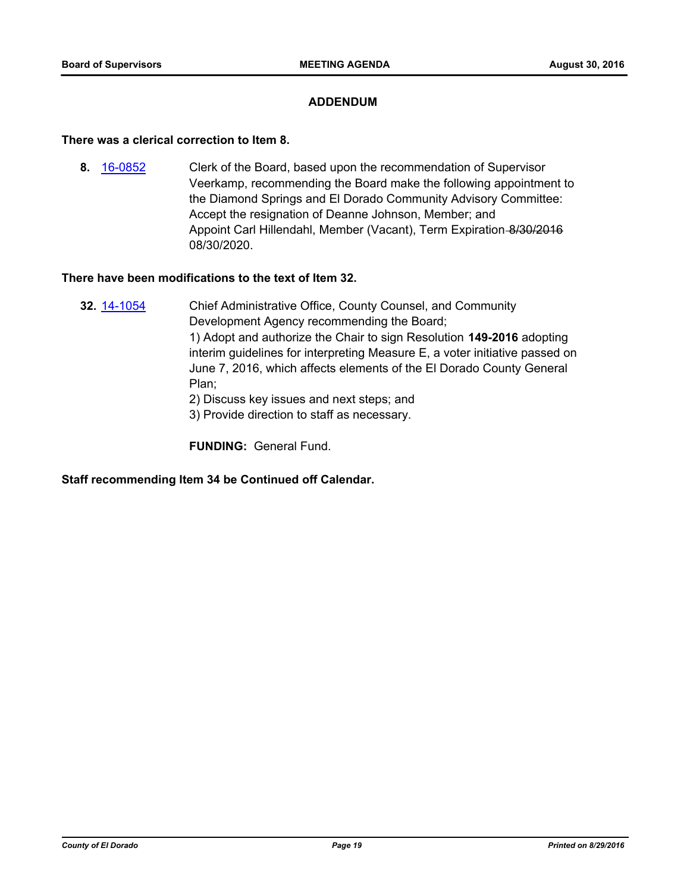# **ADDENDUM**

#### **There was a clerical correction to Item 8.**

**8.** [16-0852](http://eldorado.legistar.com/gateway.aspx?m=l&id=/matter.aspx?key=21510) Clerk of the Board, based upon the recommendation of Supervisor Veerkamp, recommending the Board make the following appointment to the Diamond Springs and El Dorado Community Advisory Committee: Accept the resignation of Deanne Johnson, Member; and Appoint Carl Hillendahl, Member (Vacant), Term Expiration-8/30/2016 08/30/2020.

## **There have been modifications to the text of Item 32.**

- **32.** [14-1054](http://eldorado.legistar.com/gateway.aspx?m=l&id=/matter.aspx?key=18539) Chief Administrative Office, County Counsel, and Community Development Agency recommending the Board; 1) Adopt and authorize the Chair to sign Resolution **149-2016** adopting interim guidelines for interpreting Measure E, a voter initiative passed on June 7, 2016, which affects elements of the El Dorado County General Plan; 2) Discuss key issues and next steps; and
	- 3) Provide direction to staff as necessary.

**FUNDING:** General Fund.

**Staff recommending Item 34 be Continued off Calendar.**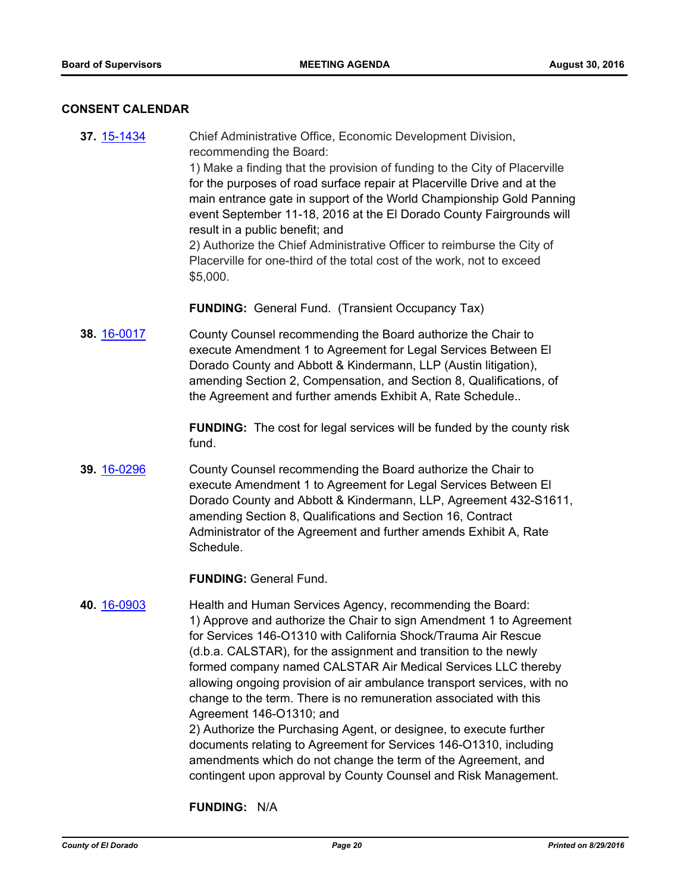#### **CONSENT CALENDAR**

**37.** [15-1434](http://eldorado.legistar.com/gateway.aspx?m=l&id=/matter.aspx?key=20612) Chief Administrative Office, Economic Development Division, recommending the Board: 1) Make a finding that the provision of funding to the City of Placerville for the purposes of road surface repair at Placerville Drive and at the main entrance gate in support of the World Championship Gold Panning event September 11-18, 2016 at the El Dorado County Fairgrounds will result in a public benefit; and 2) Authorize the Chief Administrative Officer to reimburse the City of Placerville for one-third of the total cost of the work, not to exceed \$5,000.

**FUNDING:** General Fund. (Transient Occupancy Tax)

**38.** [16-0017](http://eldorado.legistar.com/gateway.aspx?m=l&id=/matter.aspx?key=20673) County Counsel recommending the Board authorize the Chair to execute Amendment 1 to Agreement for Legal Services Between El Dorado County and Abbott & Kindermann, LLP (Austin litigation), amending Section 2, Compensation, and Section 8, Qualifications, of the Agreement and further amends Exhibit A, Rate Schedule..

> **FUNDING:** The cost for legal services will be funded by the county risk fund.

**39.** [16-0296](http://eldorado.legistar.com/gateway.aspx?m=l&id=/matter.aspx?key=20952) County Counsel recommending the Board authorize the Chair to execute Amendment 1 to Agreement for Legal Services Between El Dorado County and Abbott & Kindermann, LLP, Agreement 432-S1611, amending Section 8, Qualifications and Section 16, Contract Administrator of the Agreement and further amends Exhibit A, Rate Schedule.

**FUNDING:** General Fund.

# **40.** [16-0903](http://eldorado.legistar.com/gateway.aspx?m=l&id=/matter.aspx?key=21561) Health and Human Services Agency, recommending the Board: 1) Approve and authorize the Chair to sign Amendment 1 to Agreement for Services 146-O1310 with California Shock/Trauma Air Rescue (d.b.a. CALSTAR), for the assignment and transition to the newly formed company named CALSTAR Air Medical Services LLC thereby allowing ongoing provision of air ambulance transport services, with no change to the term. There is no remuneration associated with this Agreement 146-O1310; and 2) Authorize the Purchasing Agent, or designee, to execute further

documents relating to Agreement for Services 146-O1310, including amendments which do not change the term of the Agreement, and contingent upon approval by County Counsel and Risk Management.

**FUNDING:** N/A